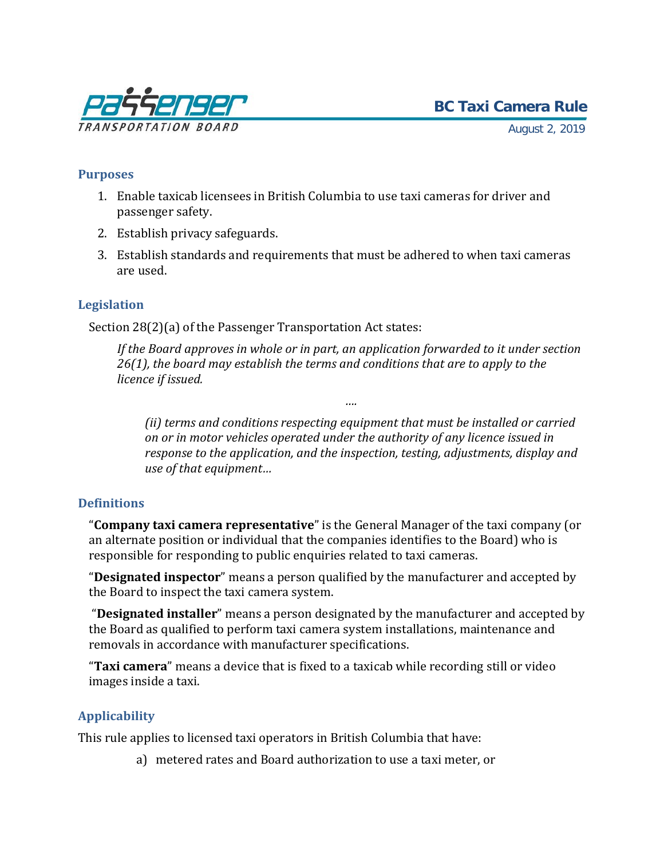

August 2, 2019

# **Purposes**

- 1. Enable taxicab licensees in British Columbia to use taxi cameras for driver and passenger safety.
- 2. Establish privacy safeguards.
- 3. Establish standards and requirements that must be adhered to when taxi cameras are used.

# **Legislation**

Section 28(2)(a) of the Passenger Transportation Act states:

*If the Board approves in whole or in part, an application forwarded to it under section 26(1), the board may establish the terms and conditions that are to apply to the licence if issued.*

*….*

*(ii) terms and conditions respecting equipment that must be installed or carried on or in motor vehicles operated under the authority of any licence issued in response to the application, and the inspection, testing, adjustments, display and use of that equipment…*

# **Definitions**

"**Company taxi camera representative**" is the General Manager of the taxi company (or an alternate position or individual that the companies identifies to the Board) who is responsible for responding to public enquiries related to taxi cameras.

"**Designated inspector**" means a person qualified by the manufacturer and accepted by the Board to inspect the taxi camera system.

"**Designated installer**" means a person designated by the manufacturer and accepted by the Board as qualified to perform taxi camera system installations, maintenance and removals in accordance with manufacturer specifications.

"**Taxi camera**" means a device that is fixed to a taxicab while recording still or video images inside a taxi.

# **Applicability**

This rule applies to licensed taxi operators in British Columbia that have:

a) metered rates and Board authorization to use a taxi meter, or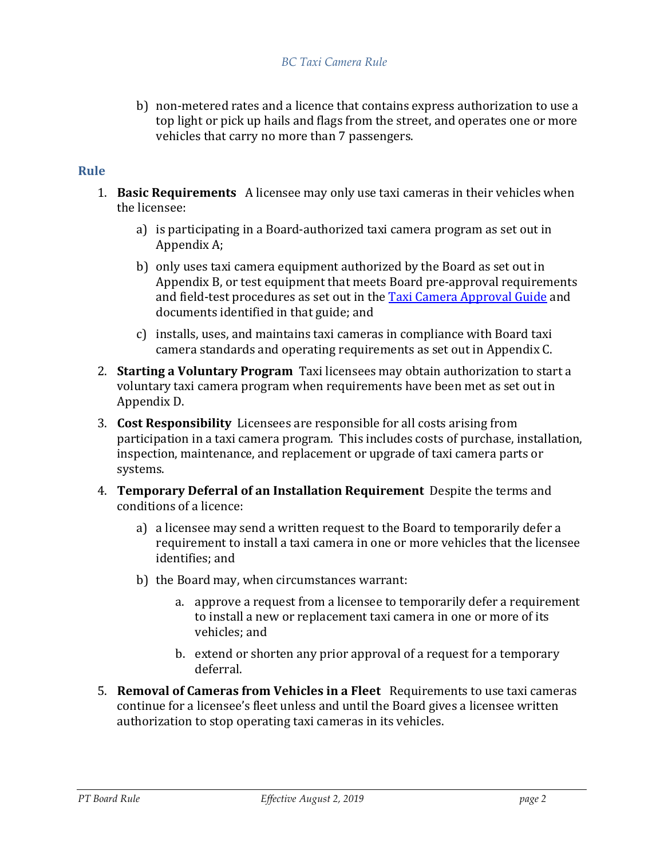b) non-metered rates and a licence that contains express authorization to use a top light or pick up hails and flags from the street, and operates one or more vehicles that carry no more than 7 passengers.

# **Rule**

- 1. **Basic Requirements** A licensee may only use taxi cameras in their vehicles when the licensee:
	- a) is participating in a Board-authorized taxi camera program as set out in Appendix A;
	- b) only uses taxi camera equipment authorized by the Board as set out in Appendix B, or test equipment that meets Board pre-approval requirements and field-test procedures as set out in the [Taxi Camera Approval Guide](https://www.th.gov.bc.ca/ptb/documents/taxicam-approval-guide.pdf) and documents identified in that guide; and
	- c) installs, uses, and maintains taxi cameras in compliance with Board taxi camera standards and operating requirements as set out in Appendix C.
- 2. **Starting a Voluntary Program** Taxi licensees may obtain authorization to start a voluntary taxi camera program when requirements have been met as set out in Appendix D.
- 3. **Cost Responsibility** Licensees are responsible for all costs arising from participation in a taxi camera program. This includes costs of purchase, installation, inspection, maintenance, and replacement or upgrade of taxi camera parts or systems.
- 4. **Temporary Deferral of an Installation Requirement** Despite the terms and conditions of a licence:
	- a) a licensee may send a written request to the Board to temporarily defer a requirement to install a taxi camera in one or more vehicles that the licensee identifies; and
	- b) the Board may, when circumstances warrant:
		- a. approve a request from a licensee to temporarily defer a requirement to install a new or replacement taxi camera in one or more of its vehicles; and
		- b. extend or shorten any prior approval of a request for a temporary deferral.
- 5. **Removal of Cameras from Vehicles in a Fleet** Requirements to use taxi cameras continue for a licensee's fleet unless and until the Board gives a licensee written authorization to stop operating taxi cameras in its vehicles.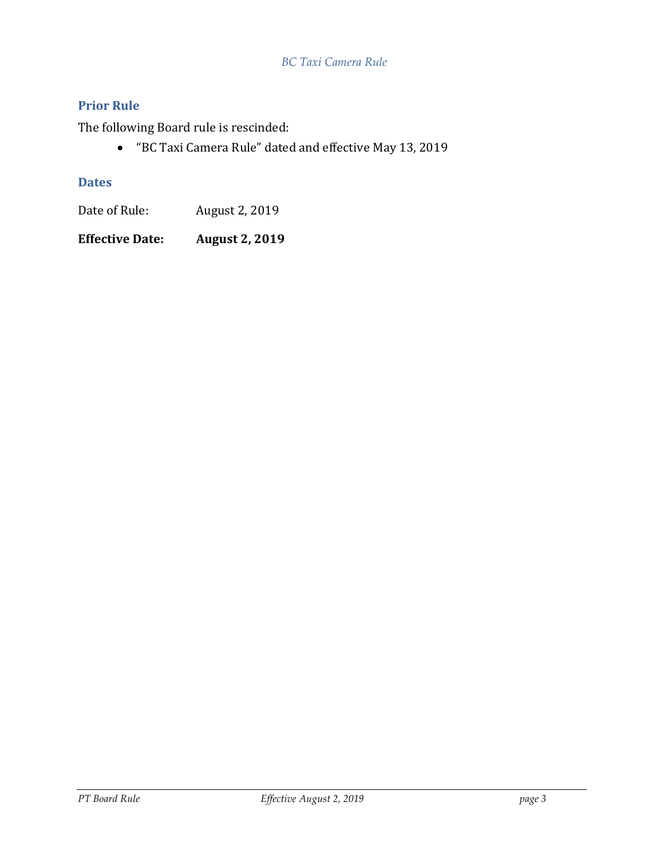# *BC Taxi Camera Rule*

# **Prior Rule**

The following Board rule is rescinded:

• "BC Taxi Camera Rule" dated and effective May 13, 2019

# **Dates**

Date of Rule: August 2, 2019

**Effective Date: August 2, 2019**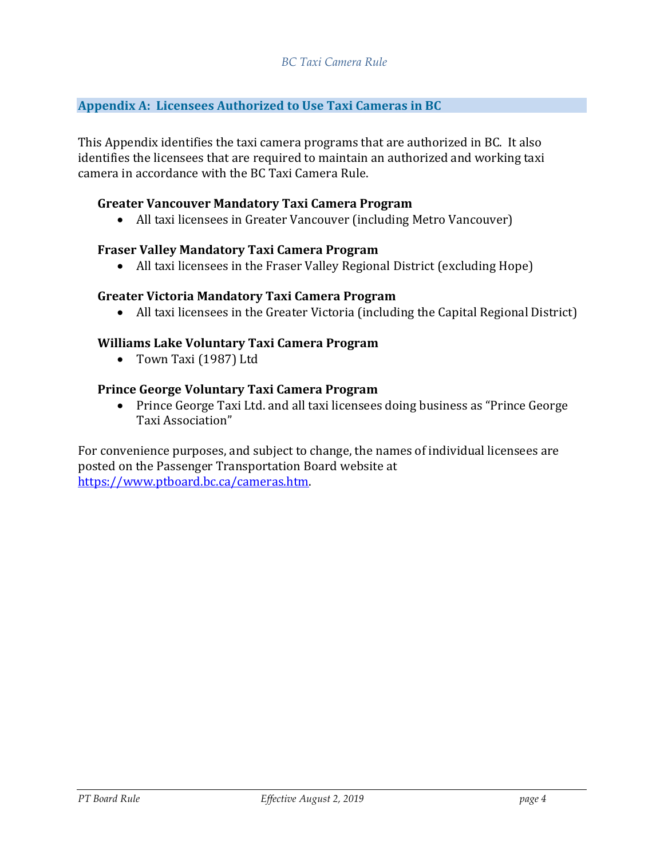# **Appendix A: Licensees Authorized to Use Taxi Cameras in BC**

This Appendix identifies the taxi camera programs that are authorized in BC. It also identifies the licensees that are required to maintain an authorized and working taxi camera in accordance with the BC Taxi Camera Rule.

#### **Greater Vancouver Mandatory Taxi Camera Program**

• All taxi licensees in Greater Vancouver (including Metro Vancouver)

#### **Fraser Valley Mandatory Taxi Camera Program**

• All taxi licensees in the Fraser Valley Regional District (excluding Hope)

#### **Greater Victoria Mandatory Taxi Camera Program**

• All taxi licensees in the Greater Victoria (including the Capital Regional District)

## **Williams Lake Voluntary Taxi Camera Program**

• Town Taxi (1987) Ltd

#### **Prince George Voluntary Taxi Camera Program**

• Prince George Taxi Ltd. and all taxi licensees doing business as "Prince George Taxi Association"

For convenience purposes, and subject to change, the names of individual licensees are posted on the Passenger Transportation Board website at [https://www.ptboard.bc.ca/cameras.htm.](https://www.ptboard.bc.ca/cameras.htm)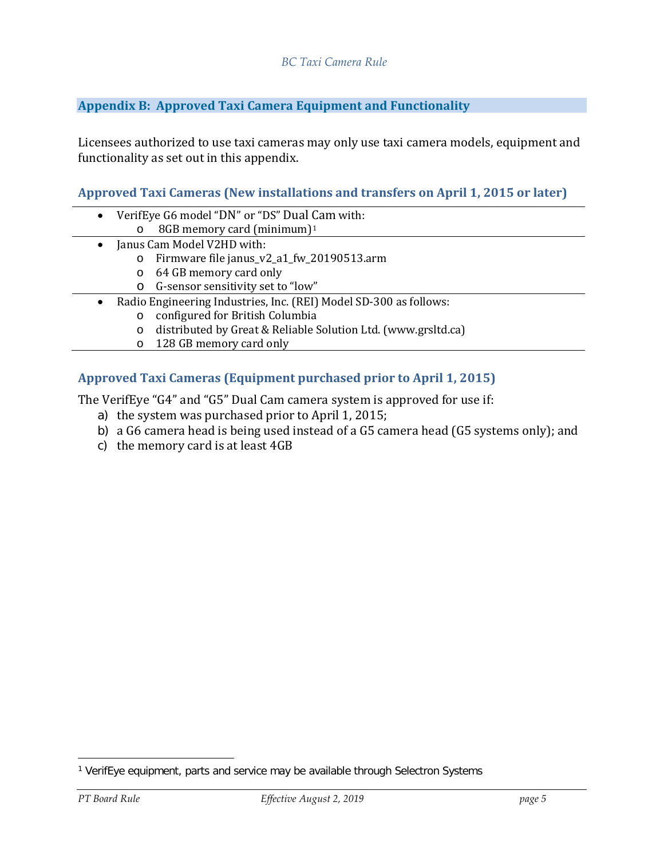## **Appendix B: Approved Taxi Camera Equipment and Functionality**

Licensees authorized to use taxi cameras may only use taxi camera models, equipment and functionality as set out in this appendix.

## **Approved Taxi Cameras (New installations and transfers on April 1, 2015 or later)**

- VerifEye G6 model "DN" or "DS" Dual [C](#page-4-0)am with: o 8GB memory card (minimum)1 • Janus Cam Model V2HD with:
	- o Firmware file janus\_v2\_a1\_fw\_20190513.arm
	- o 64 GB memory card only
	- o G-sensor sensitivity set to "low"
- Radio Engineering Industries, Inc. (REI) Model SD-300 as follows:
	- o configured for British Columbia
	- o distributed by Great & Reliable Solution Ltd. (www.grsltd.ca)
	- o 128 GB memory card only

# **Approved Taxi Cameras (Equipment purchased prior to April 1, 2015)**

The VerifEye "G4" and "G5" Dual Cam camera system is approved for use if:

- a) the system was purchased prior to April 1, 2015;
- b) a G6 camera head is being used instead of a G5 camera head (G5 systems only); and
- c) the memory card is at least 4GB

<span id="page-4-0"></span><sup>&</sup>lt;sup>1</sup> VerifEye equipment, parts and service may be available through Selectron Systems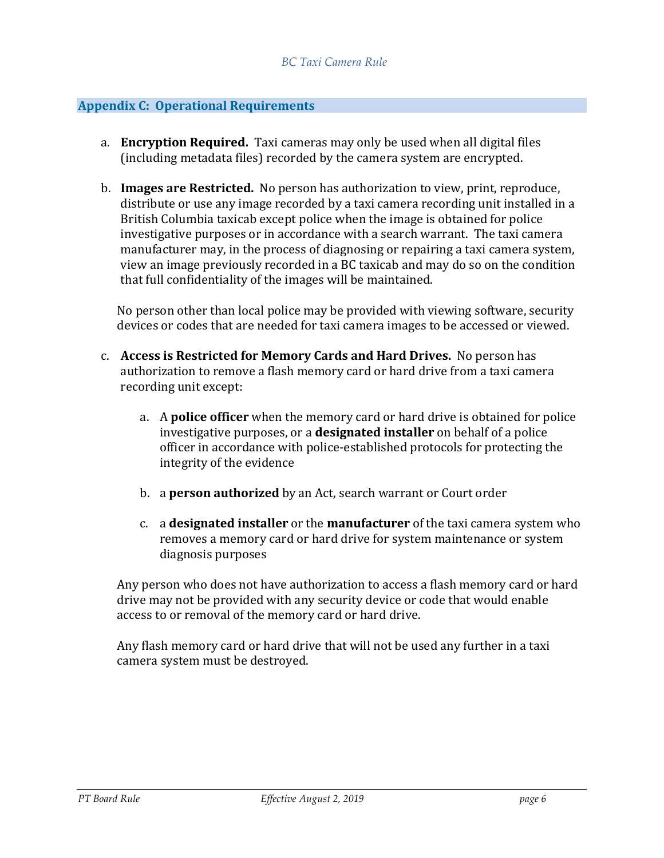### **Appendix C: Operational Requirements**

- a. **Encryption Required.** Taxi cameras may only be used when all digital files (including metadata files) recorded by the camera system are encrypted.
- b. **Images are Restricted.** No person has authorization to view, print, reproduce, distribute or use any image recorded by a taxi camera recording unit installed in a British Columbia taxicab except police when the image is obtained for police investigative purposes or in accordance with a search warrant. The taxi camera manufacturer may, in the process of diagnosing or repairing a taxi camera system, view an image previously recorded in a BC taxicab and may do so on the condition that full confidentiality of the images will be maintained.

No person other than local police may be provided with viewing software, security devices or codes that are needed for taxi camera images to be accessed or viewed.

- c. **Access is Restricted for Memory Cards and Hard Drives.** No person has authorization to remove a flash memory card or hard drive from a taxi camera recording unit except:
	- a. A **police officer** when the memory card or hard drive is obtained for police investigative purposes, or a **designated installer** on behalf of a police officer in accordance with police-established protocols for protecting the integrity of the evidence
	- b. a **person authorized** by an Act, search warrant or Court order
	- c. a **designated installer** or the **manufacturer** of the taxi camera system who removes a memory card or hard drive for system maintenance or system diagnosis purposes

Any person who does not have authorization to access a flash memory card or hard drive may not be provided with any security device or code that would enable access to or removal of the memory card or hard drive.

Any flash memory card or hard drive that will not be used any further in a taxi camera system must be destroyed.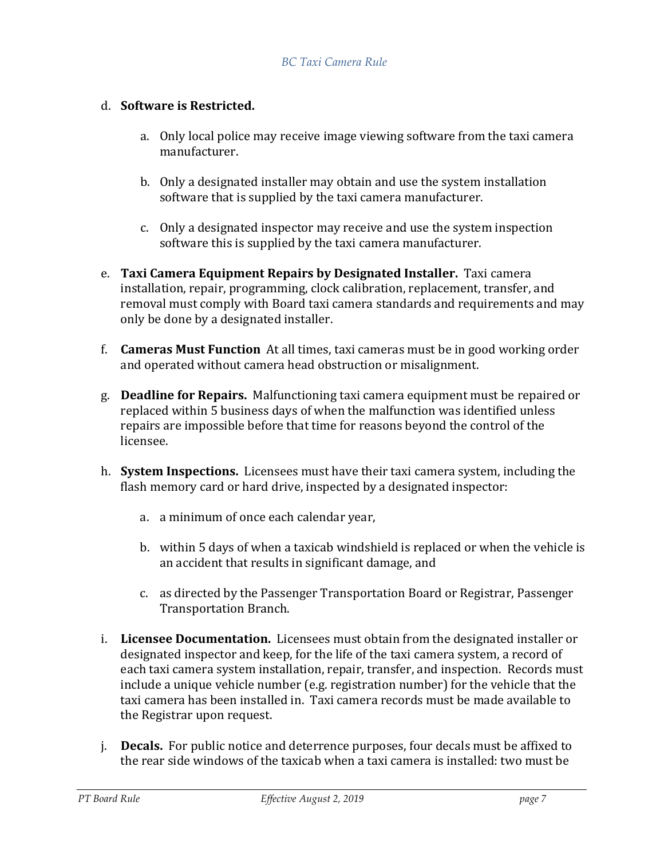# d. **Software is Restricted.**

- a. Only local police may receive image viewing software from the taxi camera manufacturer.
- b. Only a designated installer may obtain and use the system installation software that is supplied by the taxi camera manufacturer.
- c. Only a designated inspector may receive and use the system inspection software this is supplied by the taxi camera manufacturer.
- e. **Taxi Camera Equipment Repairs by Designated Installer.** Taxi camera installation, repair, programming, clock calibration, replacement, transfer, and removal must comply with Board taxi camera standards and requirements and may only be done by a designated installer.
- f. **Cameras Must Function** At all times, taxi cameras must be in good working order and operated without camera head obstruction or misalignment.
- g. **Deadline for Repairs.** Malfunctioning taxi camera equipment must be repaired or replaced within 5 business days of when the malfunction was identified unless repairs are impossible before that time for reasons beyond the control of the licensee.
- h. **System Inspections.** Licensees must have their taxi camera system, including the flash memory card or hard drive, inspected by a designated inspector:
	- a. a minimum of once each calendar year,
	- b. within 5 days of when a taxicab windshield is replaced or when the vehicle is an accident that results in significant damage, and
	- c. as directed by the Passenger Transportation Board or Registrar, Passenger Transportation Branch.
- i. **Licensee Documentation.** Licensees must obtain from the designated installer or designated inspector and keep, for the life of the taxi camera system, a record of each taxi camera system installation, repair, transfer, and inspection. Records must include a unique vehicle number (e.g. registration number) for the vehicle that the taxi camera has been installed in. Taxi camera records must be made available to the Registrar upon request.
- j. **Decals.** For public notice and deterrence purposes, four decals must be affixed to the rear side windows of the taxicab when a taxi camera is installed: two must be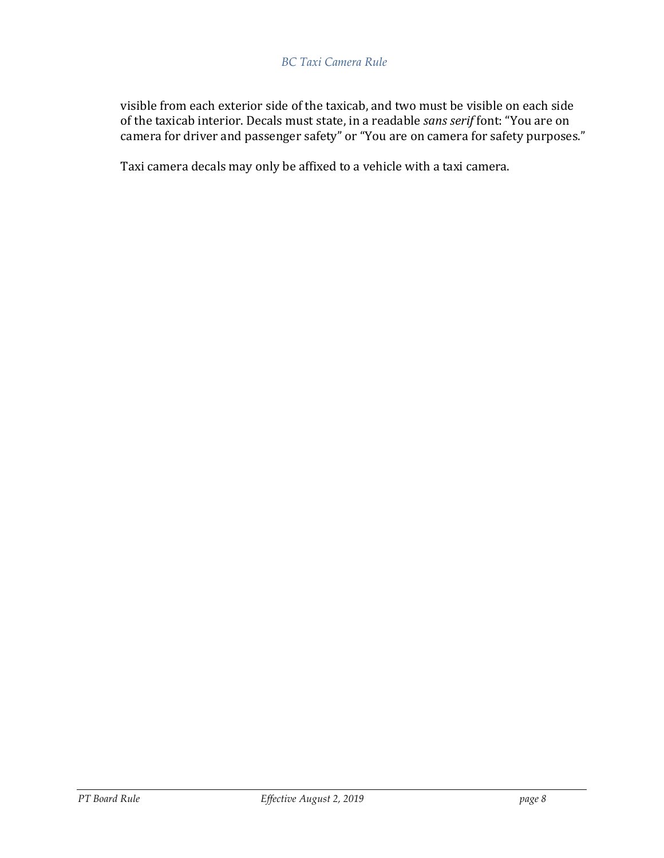### *BC Taxi Camera Rule*

visible from each exterior side of the taxicab, and two must be visible on each side of the taxicab interior. Decals must state, in a readable *sans serif* font: "You are on camera for driver and passenger safety" or "You are on camera for safety purposes."

Taxi camera decals may only be affixed to a vehicle with a taxi camera.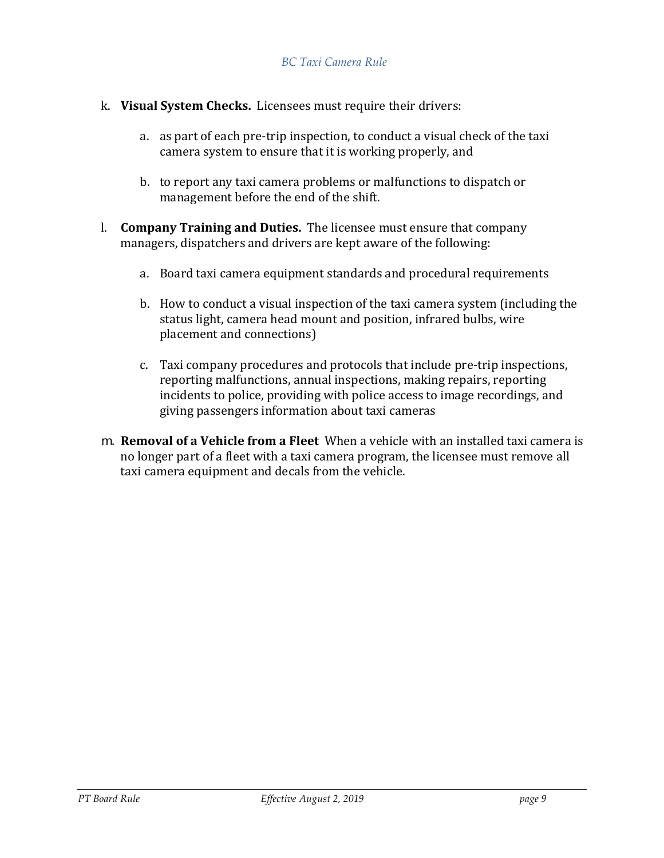- k. **Visual System Checks.** Licensees must require their drivers:
	- a. as part of each pre-trip inspection, to conduct a visual check of the taxi camera system to ensure that it is working properly, and
	- b. to report any taxi camera problems or malfunctions to dispatch or management before the end of the shift.
- l. **Company Training and Duties.** The licensee must ensure that company managers, dispatchers and drivers are kept aware of the following:
	- a. Board taxi camera equipment standards and procedural requirements
	- b. How to conduct a visual inspection of the taxi camera system (including the status light, camera head mount and position, infrared bulbs, wire placement and connections)
	- c. Taxi company procedures and protocols that include pre-trip inspections, reporting malfunctions, annual inspections, making repairs, reporting incidents to police, providing with police access to image recordings, and giving passengers information about taxi cameras
- m. **Removal of a Vehicle from a Fleet** When a vehicle with an installed taxi camera is no longer part of a fleet with a taxi camera program, the licensee must remove all taxi camera equipment and decals from the vehicle.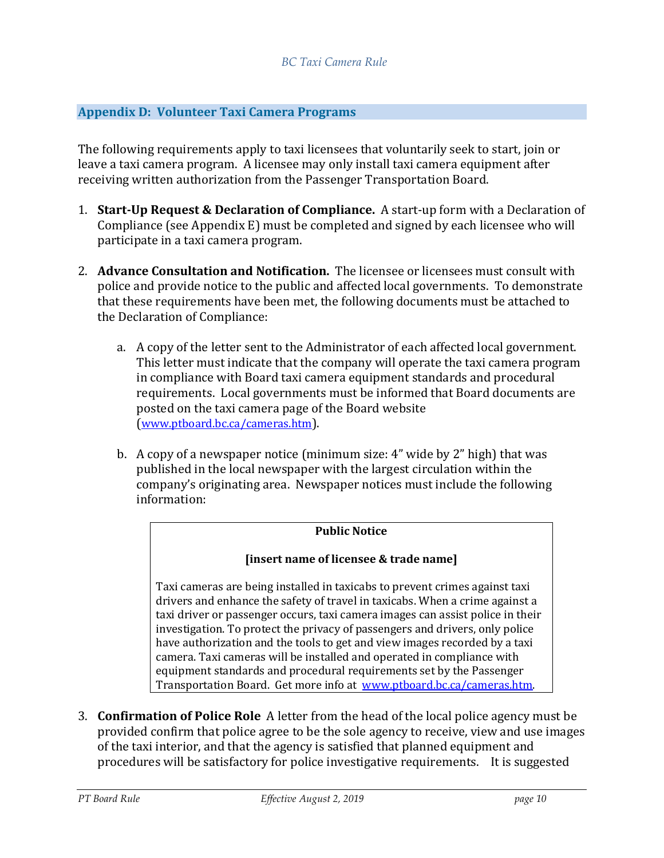### **Appendix D: Volunteer Taxi Camera Programs**

The following requirements apply to taxi licensees that voluntarily seek to start, join or leave a taxi camera program. A licensee may only install taxi camera equipment after receiving written authorization from the Passenger Transportation Board.

- 1. **Start-Up Request & Declaration of Compliance.** A start-up form with a Declaration of Compliance (see Appendix E) must be completed and signed by each licensee who will participate in a taxi camera program.
- 2. **Advance Consultation and Notification.** The licensee or licensees must consult with police and provide notice to the public and affected local governments. To demonstrate that these requirements have been met, the following documents must be attached to the Declaration of Compliance:
	- a. A copy of the letter sent to the Administrator of each affected local government. This letter must indicate that the company will operate the taxi camera program in compliance with Board taxi camera equipment standards and procedural requirements. Local governments must be informed that Board documents are posted on the taxi camera page of the Board website [\(www.ptboard.bc.ca/cameras.htm\)](https://www.ptboard.bc.ca/cameras.htm).
	- b. A copy of a newspaper notice (minimum size: 4" wide by 2" high) that was published in the local newspaper with the largest circulation within the company's originating area. Newspaper notices must include the following information:

## **Public Notice**

#### **[insert name of licensee & trade name]**

Taxi cameras are being installed in taxicabs to prevent crimes against taxi drivers and enhance the safety of travel in taxicabs. When a crime against a taxi driver or passenger occurs, taxi camera images can assist police in their investigation. To protect the privacy of passengers and drivers, only police have authorization and the tools to get and view images recorded by a taxi camera. Taxi cameras will be installed and operated in compliance with equipment standards and procedural requirements set by the Passenger Transportation Board. Get more info at [www.ptboard.bc.ca/cameras.htm.](https://www.ptboard.bc.ca/cameras.htm)

3. **Confirmation of Police Role** A letter from the head of the local police agency must be provided confirm that police agree to be the sole agency to receive, view and use images of the taxi interior, and that the agency is satisfied that planned equipment and procedures will be satisfactory for police investigative requirements. It is suggested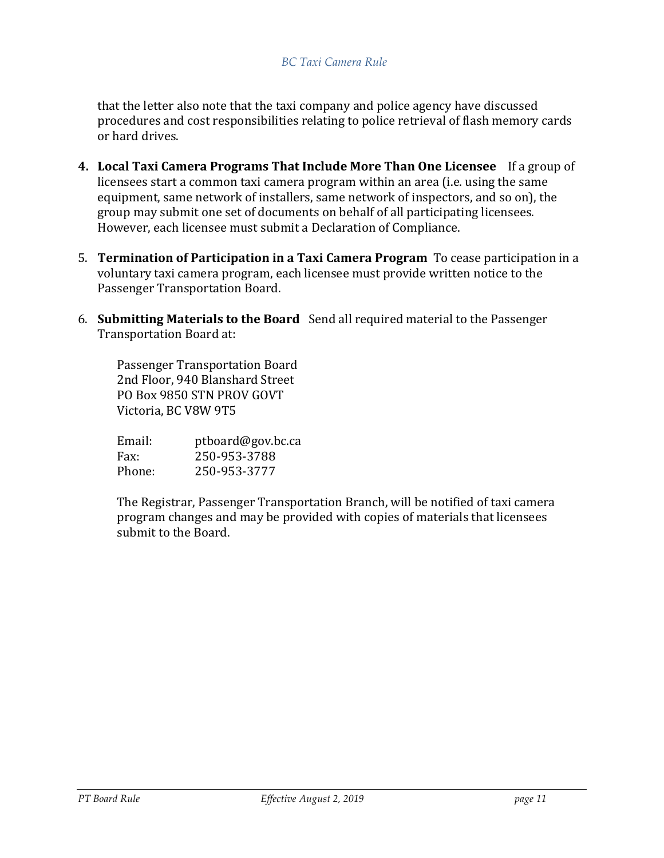#### *BC Taxi Camera Rule*

that the letter also note that the taxi company and police agency have discussed procedures and cost responsibilities relating to police retrieval of flash memory cards or hard drives.

- **4. Local Taxi Camera Programs That Include More Than One Licensee** If a group of licensees start a common taxi camera program within an area (i.e. using the same equipment, same network of installers, same network of inspectors, and so on), the group may submit one set of documents on behalf of all participating licensees. However, each licensee must submit a Declaration of Compliance.
- 5. **Termination of Participation in a Taxi Camera Program** To cease participation in a voluntary taxi camera program, each licensee must provide written notice to the Passenger Transportation Board.
- 6. **Submitting Materials to the Board** Send all required material to the Passenger Transportation Board at:

Passenger Transportation Board 2nd Floor, 940 Blanshard Street PO Box 9850 STN PROV GOVT Victoria, BC V8W 9T5

| Email: | ptboard@gov.bc.ca |
|--------|-------------------|
| Fax:   | 250-953-3788      |
| Phone: | 250-953-3777      |

The Registrar, Passenger Transportation Branch, will be notified of taxi camera program changes and may be provided with copies of materials that licensees submit to the Board.